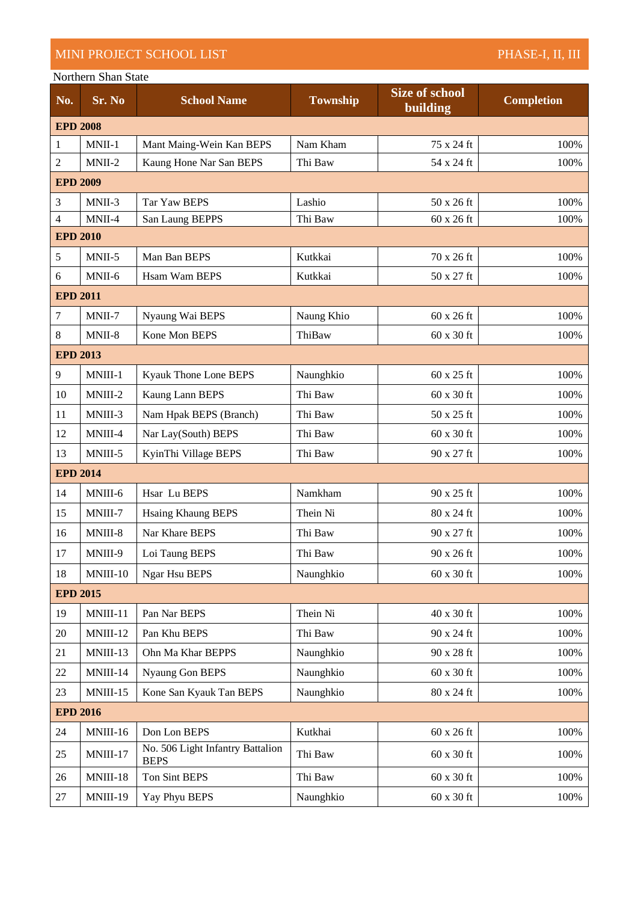## MINI PROJECT SCHOOL LIST **PHASE-I, II, III**

## Northern Shan State

| No.             | Sr. No     | <b>School Name</b>                              | <b>Township</b> | <b>Size of school</b><br>building | <b>Completion</b> |  |  |  |  |
|-----------------|------------|-------------------------------------------------|-----------------|-----------------------------------|-------------------|--|--|--|--|
| <b>EPD 2008</b> |            |                                                 |                 |                                   |                   |  |  |  |  |
| 1               | MNII-1     | Mant Maing-Wein Kan BEPS                        | Nam Kham        | 75 x 24 ft                        | 100%              |  |  |  |  |
| 2               | MNII-2     | Kaung Hone Nar San BEPS                         | Thi Baw         | 54 x 24 ft                        | 100%              |  |  |  |  |
| <b>EPD 2009</b> |            |                                                 |                 |                                   |                   |  |  |  |  |
| 3               | MNII-3     | Tar Yaw BEPS                                    | Lashio          | 50 x 26 ft                        | 100%              |  |  |  |  |
| $\overline{4}$  | MNII-4     | San Laung BEPPS                                 | Thi Baw         | $60 \times 26$ ft                 | 100%              |  |  |  |  |
| <b>EPD 2010</b> |            |                                                 |                 |                                   |                   |  |  |  |  |
| 5               | MNII-5     | Man Ban BEPS                                    | Kutkkai         | 70 x 26 ft                        | 100%              |  |  |  |  |
| 6               | MNII-6     | Hsam Wam BEPS                                   | Kutkkai         | 50 x 27 ft                        | 100%              |  |  |  |  |
| <b>EPD 2011</b> |            |                                                 |                 |                                   |                   |  |  |  |  |
| 7               | MNII-7     | Nyaung Wai BEPS                                 | Naung Khio      | 60 x 26 ft                        | 100%              |  |  |  |  |
| $\,8\,$         | MNII-8     | Kone Mon BEPS                                   | ThiBaw          | 60 x 30 ft                        | 100%              |  |  |  |  |
| <b>EPD 2013</b> |            |                                                 |                 |                                   |                   |  |  |  |  |
| 9               | MNIII-1    | Kyauk Thone Lone BEPS                           | Naunghkio       | 60 x 25 ft                        | 100%              |  |  |  |  |
| 10              | MNIII-2    | Kaung Lann BEPS                                 | Thi Baw         | 60 x 30 ft                        | 100%              |  |  |  |  |
| 11              | MNIII-3    | Nam Hpak BEPS (Branch)                          | Thi Baw         | 50 x 25 ft                        | 100%              |  |  |  |  |
| 12              | MNIII-4    | Nar Lay(South) BEPS                             | Thi Baw         | 60 x 30 ft                        | 100%              |  |  |  |  |
| 13              | MNIII-5    | KyinThi Village BEPS                            | Thi Baw         | 90 x 27 ft                        | 100%              |  |  |  |  |
| <b>EPD 2014</b> |            |                                                 |                 |                                   |                   |  |  |  |  |
| 14              | MNIII-6    | Hsar Lu BEPS                                    | Namkham         | 90 x 25 ft                        | 100%              |  |  |  |  |
| 15              | MNIII-7    | <b>Hsaing Khaung BEPS</b>                       | Thein Ni        | 80 x 24 ft                        | 100%              |  |  |  |  |
| 16              | MNIII-8    | Nar Khare BEPS                                  | Thi Baw         | 90 x 27 ft                        | 100%              |  |  |  |  |
| 17              | MNIII-9    | Loi Taung BEPS                                  | Thi Baw         | 90 x 26 ft                        | 100%              |  |  |  |  |
| 18              | MNIII-10   | Ngar Hsu BEPS                                   | Naunghkio       | $60$ x $30$ ft                    | 100%              |  |  |  |  |
| <b>EPD 2015</b> |            |                                                 |                 |                                   |                   |  |  |  |  |
| 19              | $MNIII-11$ | Pan Nar BEPS                                    | Thein Ni        | 40 x 30 ft                        | 100%              |  |  |  |  |
| 20              | MNIII-12   | Pan Khu BEPS                                    | Thi Baw         | 90 x 24 ft                        | 100%              |  |  |  |  |
| 21              | MNIII-13   | Ohn Ma Khar BEPPS                               | Naunghkio       | 90 x 28 ft                        | 100%              |  |  |  |  |
| 22              | MNIII-14   | Nyaung Gon BEPS                                 | Naunghkio       | 60 x 30 ft                        | 100%              |  |  |  |  |
| 23              | MNIII-15   | Kone San Kyauk Tan BEPS                         | Naunghkio       | 80 x 24 ft                        | 100%              |  |  |  |  |
| <b>EPD 2016</b> |            |                                                 |                 |                                   |                   |  |  |  |  |
| 24              | MNIII-16   | Don Lon BEPS                                    | Kutkhai         | $60 \times 26$ ft                 | 100%              |  |  |  |  |
| 25              | MNIII-17   | No. 506 Light Infantry Battalion<br><b>BEPS</b> | Thi Baw         | 60 x 30 ft                        | 100%              |  |  |  |  |
| 26              | MNIII-18   | Ton Sint BEPS                                   | Thi Baw         | 60 x 30 ft                        | 100%              |  |  |  |  |
| 27              | MNIII-19   | Yay Phyu BEPS                                   | Naunghkio       | $60 \times 30$ ft                 | 100%              |  |  |  |  |